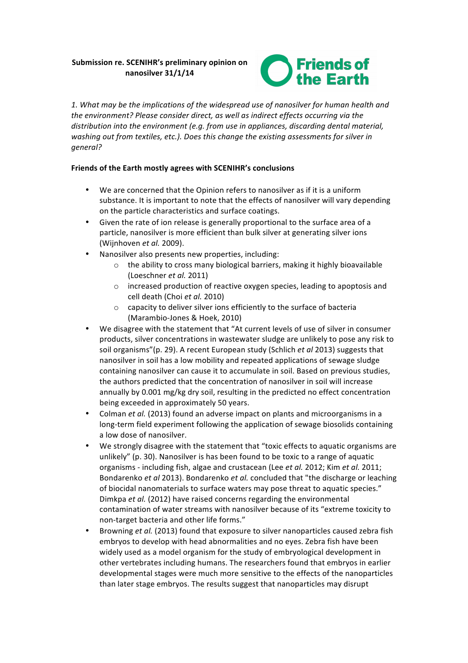# Submission re. SCENIHR's preliminary opinion on **nanosilver 31/1/14**



1. What may be the implications of the widespread use of nanosilver for human health and the environment? Please consider direct, as well as indirect effects occurring via the distribution into the environment (e.g. from use in appliances, discarding dental material, washing out from textiles, etc.). Does this change the existing assessments for silver in *general?*

## Friends of the Earth mostly agrees with SCENIHR's conclusions

- We are concerned that the Opinion refers to nanosilver as if it is a uniform substance. It is important to note that the effects of nanosilver will vary depending on the particle characteristics and surface coatings.
- Given the rate of ion release is generally proportional to the surface area of a particle, nanosilver is more efficient than bulk silver at generating silver ions (Wijnhoven *et al.* 2009).
- Nanosilver also presents new properties, including:
	- $\circ$  the ability to cross many biological barriers, making it highly bioavailable (Loeschner *et al.* 2011)
	- $\circ$  increased production of reactive oxygen species, leading to apoptosis and cell death (Choi et al. 2010)
	- $\circ$  capacity to deliver silver ions efficiently to the surface of bacteria (Marambio-Jones & Hoek, 2010)
- We disagree with the statement that "At current levels of use of silver in consumer products, silver concentrations in wastewater sludge are unlikely to pose any risk to soil organisms"(p. 29). A recent European study (Schlich et al 2013) suggests that nanosilver in soil has a low mobility and repeated applications of sewage sludge containing nanosilver can cause it to accumulate in soil. Based on previous studies, the authors predicted that the concentration of nanosilver in soil will increase annually by 0.001 mg/kg dry soil, resulting in the predicted no effect concentration being exceeded in approximately 50 years.
- Colman *et al.* (2013) found an adverse impact on plants and microorganisms in a long-term field experiment following the application of sewage biosolids containing a low dose of nanosilver.
- We strongly disagree with the statement that "toxic effects to aquatic organisms are unlikely" (p. 30). Nanosilver is has been found to be toxic to a range of aquatic organisms - including fish, algae and crustacean (Lee *et al.* 2012; Kim *et al.* 2011; Bondarenko *et al* 2013). Bondarenko *et al.* concluded that "the discharge or leaching of biocidal nanomaterials to surface waters may pose threat to aquatic species." Dimkpa *et al.* (2012) have raised concerns regarding the environmental contamination of water streams with nanosilver because of its "extreme toxicity to non-target bacteria and other life forms."
- Browning *et al.* (2013) found that exposure to silver nanoparticles caused zebra fish embryos to develop with head abnormalities and no eyes. Zebra fish have been widely used as a model organism for the study of embryological development in other vertebrates including humans. The researchers found that embryos in earlier developmental stages were much more sensitive to the effects of the nanoparticles than later stage embryos. The results suggest that nanoparticles may disrupt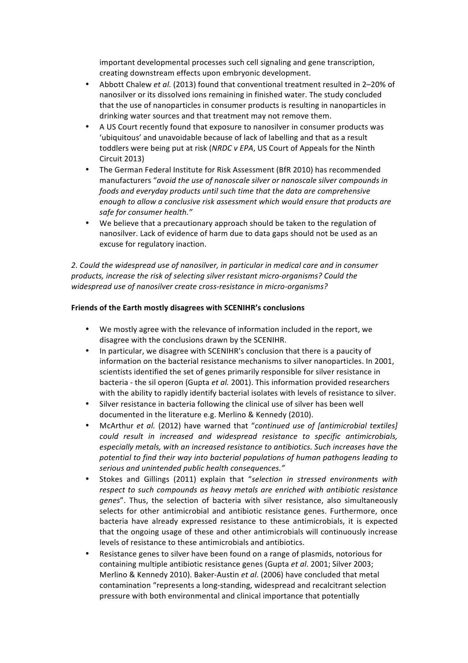important developmental processes such cell signaling and gene transcription, creating downstream effects upon embryonic development.

- Abbott Chalew et al. (2013) found that conventional treatment resulted in 2-20% of nanosilver or its dissolved ions remaining in finished water. The study concluded that the use of nanoparticles in consumer products is resulting in nanoparticles in drinking water sources and that treatment may not remove them.
- A US Court recently found that exposure to nanosilver in consumer products was 'ubiquitous' and unavoidable because of lack of labelling and that as a result toddlers were being put at risk (*NRDC* v *EPA*, US Court of Appeals for the Ninth Circuit 2013)
- The German Federal Institute for Risk Assessment (BfR 2010) has recommended manufacturers "avoid the use of nanoscale silver or nanoscale silver compounds in *foods* and everyday products until such time that the data are comprehensive *enough to allow a conclusive risk assessment which would ensure that products are* safe for consumer health."
- We believe that a precautionary approach should be taken to the regulation of nanosilver. Lack of evidence of harm due to data gaps should not be used as an excuse for regulatory inaction.

2. Could the widespread use of nanosilver, in particular in medical care and in consumer *products, increase the risk of selecting silver resistant micro-organisms? Could the* widespread use of nanosilver create cross-resistance in micro-organisms?

### Friends of the Earth mostly disagrees with SCENIHR's conclusions

- We mostly agree with the relevance of information included in the report, we disagree with the conclusions drawn by the SCENIHR.
- In particular, we disagree with SCENIHR's conclusion that there is a paucity of information on the bacterial resistance mechanisms to silver nanoparticles. In 2001, scientists identified the set of genes primarily responsible for silver resistance in bacteria - the sil operon (Gupta et al. 2001). This information provided researchers with the ability to rapidly identify bacterial isolates with levels of resistance to silver.
- Silver resistance in bacteria following the clinical use of silver has been well documented in the literature e.g. Merlino & Kennedy (2010).
- McArthur *et al.* (2012) have warned that "continued use of [antimicrobial textiles] *could* result in increased and widespread resistance to specific antimicrobials, especially metals, with an increased resistance to antibiotics. Such increases have the potential to find their way into bacterial populations of human pathogens leading to *serious and unintended public health consequences."*
- Stokes and Gillings (2011) explain that "selection in stressed environments with respect to such compounds as heavy metals are enriched with antibiotic resistance genes". Thus, the selection of bacteria with silver resistance, also simultaneously selects for other antimicrobial and antibiotic resistance genes. Furthermore, once bacteria have already expressed resistance to these antimicrobials, it is expected that the ongoing usage of these and other antimicrobials will continuously increase levels of resistance to these antimicrobials and antibiotics.
- Resistance genes to silver have been found on a range of plasmids, notorious for containing multiple antibiotic resistance genes (Gupta et al. 2001; Silver 2003; Merlino & Kennedy 2010). Baker-Austin et al. (2006) have concluded that metal contamination "represents a long-standing, widespread and recalcitrant selection pressure with both environmental and clinical importance that potentially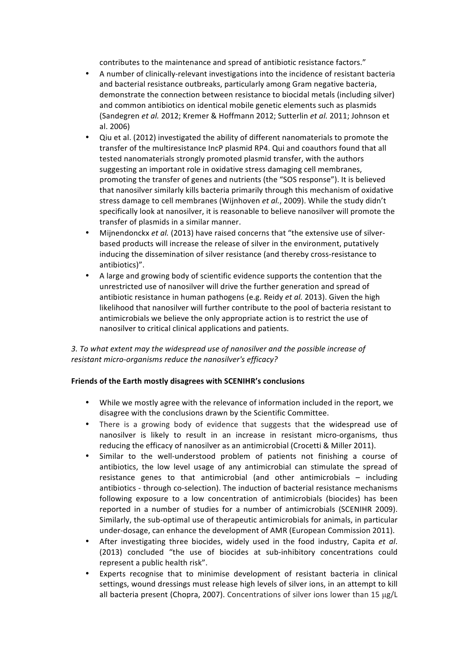contributes to the maintenance and spread of antibiotic resistance factors."

- A number of clinically-relevant investigations into the incidence of resistant bacteria and bacterial resistance outbreaks, particularly among Gram negative bacteria, demonstrate the connection between resistance to biocidal metals (including silver) and common antibiotics on identical mobile genetic elements such as plasmids (Sandegren et al. 2012; Kremer & Hoffmann 2012; Sutterlin et al. 2011; Johnson et al. 2006)
- Qiu et al. (2012) investigated the ability of different nanomaterials to promote the transfer of the multiresistance IncP plasmid RP4. Qui and coauthors found that all tested nanomaterials strongly promoted plasmid transfer, with the authors suggesting an important role in oxidative stress damaging cell membranes, promoting the transfer of genes and nutrients (the "SOS response"). It is believed that nanosilver similarly kills bacteria primarily through this mechanism of oxidative stress damage to cell membranes (Wijnhoven *et al.*, 2009). While the study didn't specifically look at nanosilver, it is reasonable to believe nanosilver will promote the transfer of plasmids in a similar manner.
- Mijnendonckx *et al.* (2013) have raised concerns that "the extensive use of silverbased products will increase the release of silver in the environment, putatively inducing the dissemination of silver resistance (and thereby cross-resistance to antibiotics)".
- A large and growing body of scientific evidence supports the contention that the unrestricted use of nanosilver will drive the further generation and spread of antibiotic resistance in human pathogens (e.g. Reidy *et al.* 2013). Given the high likelihood that nanosilver will further contribute to the pool of bacteria resistant to antimicrobials we believe the only appropriate action is to restrict the use of nanosilver to critical clinical applications and patients.

3. To what extent may the widespread use of nanosilver and the possible increase of *resistant micro-organisms reduce the nanosilver's efficacy?* 

### Friends of the Earth mostly disagrees with SCENIHR's conclusions

- While we mostly agree with the relevance of information included in the report, we disagree with the conclusions drawn by the Scientific Committee.
- There is a growing body of evidence that suggests that the widespread use of nanosilver is likely to result in an increase in resistant micro-organisms, thus reducing the efficacy of nanosilver as an antimicrobial (Crocetti & Miller 2011).
- Similar to the well-understood problem of patients not finishing a course of antibiotics, the low level usage of any antimicrobial can stimulate the spread of resistance genes to that antimicrobial (and other antimicrobials  $-$  including antibiotics - through co-selection). The induction of bacterial resistance mechanisms following exposure to a low concentration of antimicrobials (biocides) has been reported in a number of studies for a number of antimicrobials (SCENIHR 2009). Similarly, the sub-optimal use of therapeutic antimicrobials for animals, in particular under-dosage, can enhance the development of AMR (European Commission 2011).
- After investigating three biocides, widely used in the food industry, Capita et al. (2013) concluded "the use of biocides at sub-inhibitory concentrations could represent a public health risk".
- Experts recognise that to minimise development of resistant bacteria in clinical settings, wound dressings must release high levels of silver ions, in an attempt to kill all bacteria present (Chopra, 2007). Concentrations of silver ions lower than 15  $\mu$ g/L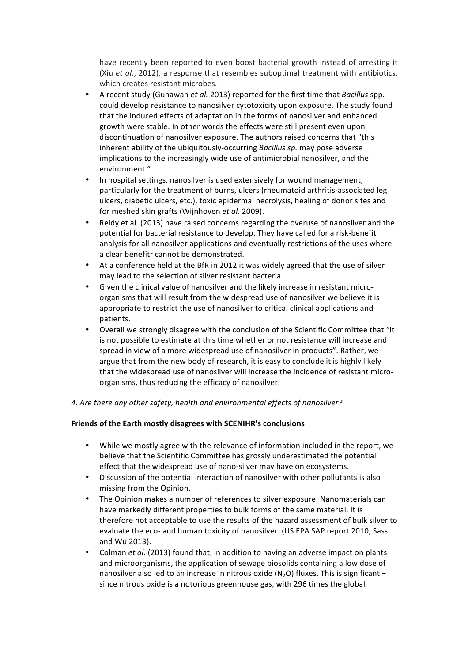have recently been reported to even boost bacterial growth instead of arresting it (Xiu et al., 2012), a response that resembles suboptimal treatment with antibiotics, which creates resistant microbes.

- A recent study (Gunawan *et al.* 2013) reported for the first time that *Bacillus* spp. could develop resistance to nanosilver cytotoxicity upon exposure. The study found that the induced effects of adaptation in the forms of nanosilver and enhanced growth were stable. In other words the effects were still present even upon discontinuation of nanosilver exposure. The authors raised concerns that "this inherent ability of the ubiquitously-occurring *Bacillus sp.* may pose adverse implications to the increasingly wide use of antimicrobial nanosilver, and the environment."
- In hospital settings, nanosilver is used extensively for wound management, particularly for the treatment of burns, ulcers (rheumatoid arthritis-associated leg ulcers, diabetic ulcers, etc.), toxic epidermal necrolysis, healing of donor sites and for meshed skin grafts (Wijnhoven *et al.* 2009).
- Reidy et al. (2013) have raised concerns regarding the overuse of nanosilver and the potential for bacterial resistance to develop. They have called for a risk-benefit analysis for all nanosilver applications and eventually restrictions of the uses where a clear benefitr cannot be demonstrated.
- At a conference held at the BfR in 2012 it was widely agreed that the use of silver may lead to the selection of silver resistant bacteria
- Given the clinical value of nanosilver and the likely increase in resistant microorganisms that will result from the widespread use of nanosilver we believe it is appropriate to restrict the use of nanosilver to critical clinical applications and patients.
- Overall we strongly disagree with the conclusion of the Scientific Committee that "it is not possible to estimate at this time whether or not resistance will increase and spread in view of a more widespread use of nanosilver in products". Rather, we argue that from the new body of research, it is easy to conclude it is highly likely that the widespread use of nanosilver will increase the incidence of resistant microorganisms, thus reducing the efficacy of nanosilver.

### 4. Are there any other safety, health and environmental effects of nanosilver?

### Friends of the Earth mostly disagrees with SCENIHR's conclusions

- While we mostly agree with the relevance of information included in the report, we believe that the Scientific Committee has grossly underestimated the potential effect that the widespread use of nano-silver may have on ecosystems.
- Discussion of the potential interaction of nanosilver with other pollutants is also missing from the Opinion.
- The Opinion makes a number of references to silver exposure. Nanomaterials can have markedly different properties to bulk forms of the same material. It is therefore not acceptable to use the results of the hazard assessment of bulk silver to evaluate the eco- and human toxicity of nanosilver. (US EPA SAP report 2010; Sass and Wu 2013).
- Colman *et al.* (2013) found that, in addition to having an adverse impact on plants and microorganisms, the application of sewage biosolids containing a low dose of nanosilver also led to an increase in nitrous oxide  $(N_2O)$  fluxes. This is significant since nitrous oxide is a notorious greenhouse gas, with 296 times the global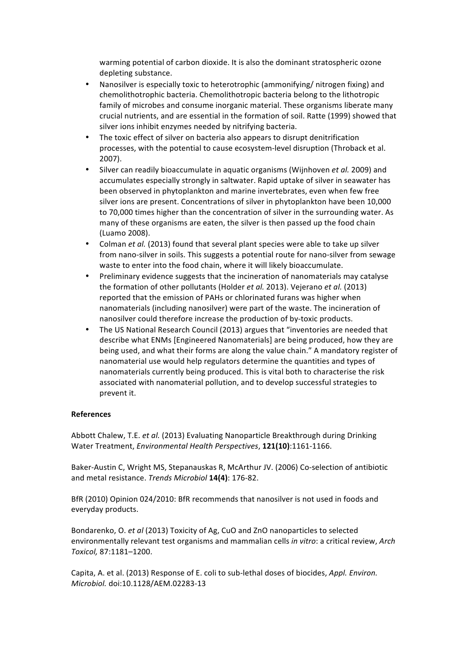warming potential of carbon dioxide. It is also the dominant stratospheric ozone depleting substance.

- Nanosilver is especially toxic to heterotrophic (ammonifying/ nitrogen fixing) and chemolithotrophic bacteria. Chemolithotropic bacteria belong to the lithotropic family of microbes and consume inorganic material. These organisms liberate many crucial nutrients, and are essential in the formation of soil. Ratte (1999) showed that silver ions inhibit enzymes needed by nitrifying bacteria.
- The toxic effect of silver on bacteria also appears to disrupt denitrification processes, with the potential to cause ecosystem-level disruption (Throback et al. 2007).
- Silver can readily bioaccumulate in aquatic organisms (Wijnhoven *et al.* 2009) and accumulates especially strongly in saltwater. Rapid uptake of silver in seawater has been observed in phytoplankton and marine invertebrates, even when few free silver ions are present. Concentrations of silver in phytoplankton have been 10,000 to 70,000 times higher than the concentration of silver in the surrounding water. As many of these organisms are eaten, the silver is then passed up the food chain (Luamo 2008).
- Colman *et al.* (2013) found that several plant species were able to take up silver from nano-silver in soils. This suggests a potential route for nano-silver from sewage waste to enter into the food chain, where it will likely bioaccumulate.
- Preliminary evidence suggests that the incineration of nanomaterials may catalyse the formation of other pollutants (Holder *et al.* 2013). Vejerano *et al.* (2013) reported that the emission of PAHs or chlorinated furans was higher when nanomaterials (including nanosilver) were part of the waste. The incineration of nanosilver could therefore increase the production of by-toxic products.
- The US National Research Council (2013) argues that "inventories are needed that describe what ENMs [Engineered Nanomaterials] are being produced, how they are being used, and what their forms are along the value chain." A mandatory register of nanomaterial use would help regulators determine the quantities and types of nanomaterials currently being produced. This is vital both to characterise the risk associated with nanomaterial pollution, and to develop successful strategies to prevent it.

### **References**

Abbott Chalew, T.E. *et al.* (2013) Evaluating Nanoparticle Breakthrough during Drinking Water Treatment, *Environmental Health Perspectives*, 121(10):1161-1166.

Baker-Austin C, Wright MS, Stepanauskas R, McArthur JV. (2006) Co-selection of antibiotic and metal resistance. *Trends Microbiol* **14(4)**: 176-82.

BfR (2010) Opinion 024/2010: BfR recommends that nanosilver is not used in foods and everyday products.

Bondarenko, O. *et al* (2013) Toxicity of Ag, CuO and ZnO nanoparticles to selected environmentally relevant test organisms and mammalian cells *in vitro*: a critical review, *Arch Toxicol,* 87:1181–1200.

Capita, A. et al. (2013) Response of E. coli to sub-lethal doses of biocides, *Appl. Environ. Microbiol.* doi:10.1128/AEM.02283-13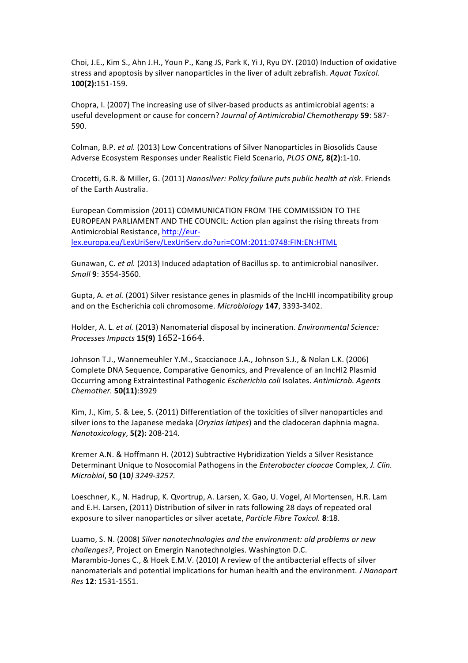Choi, J.E., Kim S., Ahn J.H., Youn P., Kang JS, Park K, Yi J, Ryu DY. (2010) Induction of oxidative stress and apoptosis by silver nanoparticles in the liver of adult zebrafish. Aquat Toxicol. **100(2):**151-159.

Chopra, I. (2007) The increasing use of silver-based products as antimicrobial agents: a useful development or cause for concern? *Journal of Antimicrobial Chemotherapy* 59: 587-590.

Colman, B.P. *et al.* (2013) Low Concentrations of Silver Nanoparticles in Biosolids Cause Adverse Ecosystem Responses under Realistic Field Scenario, *PLOS ONE,* **8(2)**:1-10.

Crocetti, G.R. & Miller, G. (2011) *Nanosilver: Policy failure puts public health at risk*. Friends of the Farth Australia.

European Commission (2011) COMMUNICATION FROM THE COMMISSION TO THE EUROPEAN PARLIAMENT AND THE COUNCIL: Action plan against the rising threats from Antimicrobial Resistance, http://eurlex.europa.eu/LexUriServ/LexUriServ.do?uri=COM:2011:0748:FIN:EN:HTML 

Gunawan, C. *et al.* (2013) Induced adaptation of Bacillus sp. to antimicrobial nanosilver. *Small* **9**: 3554-3560.

Gupta, A. *et al.* (2001) Silver resistance genes in plasmids of the IncHII incompatibility group and on the Escherichia coli chromosome. *Microbiology* 147, 3393-3402.

Holder, A. L. et al. (2013) Nanomaterial disposal by incineration. *Environmental Science: Processes Impacts* **15(9)** 1652-1664.

Johnson T.J., Wannemeuhler Y.M., Scaccianoce J.A., Johnson S.J., & Nolan L.K. (2006) Complete DNA Sequence, Comparative Genomics, and Prevalence of an IncHI2 Plasmid Occurring among Extraintestinal Pathogenic *Escherichia coli* Isolates. Antimicrob. Agents *Chemother.* **50(11)**:3929

Kim, J., Kim, S. & Lee, S. (2011) Differentiation of the toxicities of silver nanoparticles and silver ions to the Japanese medaka (*Oryzias latipes*) and the cladoceran daphnia magna. *Nanotoxicology*, **5(2):** 208-214.

Kremer A.N. & Hoffmann H. (2012) Subtractive Hybridization Yields a Silver Resistance Determinant Unique to Nosocomial Pathogens in the *Enterobacter cloacae* Complex, *J. Clin. Microbiol*, **50 (10***) 3249-3257.*

Loeschner, K., N. Hadrup, K. Qvortrup, A. Larsen, X. Gao, U. Vogel, Al Mortensen, H.R. Lam and E.H. Larsen, (2011) Distribution of silver in rats following 28 days of repeated oral exposure to silver nanoparticles or silver acetate, *Particle Fibre Toxicol.* 8:18.

Luamo, S. N. (2008) Silver nanotechnologies and the environment: old problems or new *challenges?*, Project on Emergin Nanotechnolgies. Washington D.C. Marambio-Jones C., & Hoek E.M.V. (2010) A review of the antibacterial effects of silver nanomaterials and potential implications for human health and the environment. *J Nanopart Res* **12**: 1531-1551.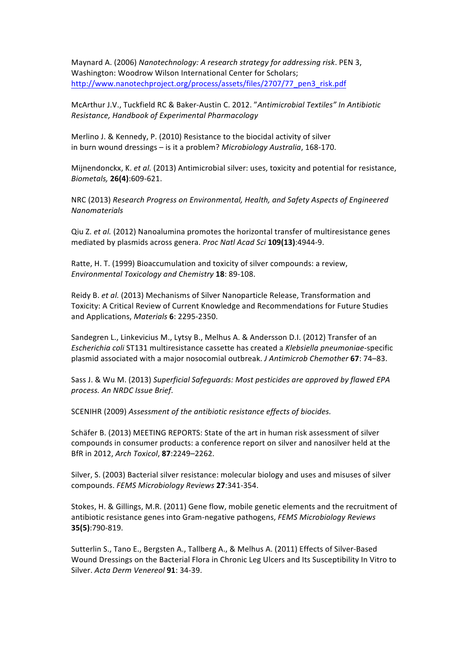Maynard A. (2006) *Nanotechnology: A research strategy for addressing risk*. PEN 3, Washington: Woodrow Wilson International Center for Scholars; http://www.nanotechproject.org/process/assets/files/2707/77\_pen3\_risk.pdf

McArthur J.V., Tuckfield RC & Baker-Austin C. 2012. "Antimicrobial Textiles" In Antibiotic *Resistance, Handbook of Experimental Pharmacology* 

Merlino J. & Kennedy, P. (2010) Resistance to the biocidal activity of silver in burn wound dressings – is it a problem? *Microbiology Australia*, 168-170.

Mijnendonckx, K. et al. (2013) Antimicrobial silver: uses, toxicity and potential for resistance, *Biometals,* **26(4)**:609-621.

NRC (2013) Research Progress on Environmental, Health, and Safety Aspects of Engineered *Nanomaterials*

Qiu Z. *et al.* (2012) Nanoalumina promotes the horizontal transfer of multiresistance genes mediated by plasmids across genera. Proc Natl Acad Sci 109(13):4944-9.

Ratte, H. T. (1999) Bioaccumulation and toxicity of silver compounds: a review, *Environmental Toxicology and Chemistry* **18**: 89-108.

Reidy B. *et al.* (2013) Mechanisms of Silver Nanoparticle Release, Transformation and Toxicity: A Critical Review of Current Knowledge and Recommendations for Future Studies and Applications, Materials 6: 2295-2350.

Sandegren L., Linkevicius M., Lytsy B., Melhus A. & Andersson D.I. (2012) Transfer of an *Escherichia coli* ST131 multiresistance cassette has created a *Klebsiella pneumoniae*-specific plasmid associated with a major nosocomial outbreak. *J Antimicrob Chemother* **67**: 74–83. 

Sass J. & Wu M. (2013) Superficial Safeguards: Most pesticides are approved by flawed EPA *process. An NRDC Issue Brief*. 

SCENIHR (2009) Assessment of the antibiotic resistance effects of biocides.

Schäfer B. (2013) MEETING REPORTS: State of the art in human risk assessment of silver compounds in consumer products: a conference report on silver and nanosilver held at the BfR in 2012, *Arch Toxicol*, **87**:2249–2262.

Silver, S. (2003) Bacterial silver resistance: molecular biology and uses and misuses of silver compounds. *FEMS Microbiology Reviews* **27**:341-354.

Stokes, H. & Gillings, M.R. (2011) Gene flow, mobile genetic elements and the recruitment of antibiotic resistance genes into Gram-negative pathogens, *FEMS Microbiology Reviews* **35(5)**:790-819.

Sutterlin S., Tano E., Bergsten A., Tallberg A., & Melhus A. (2011) Effects of Silver-Based Wound Dressings on the Bacterial Flora in Chronic Leg Ulcers and Its Susceptibility In Vitro to Silver. *Acta Derm Venereol* **91**: 34-39.